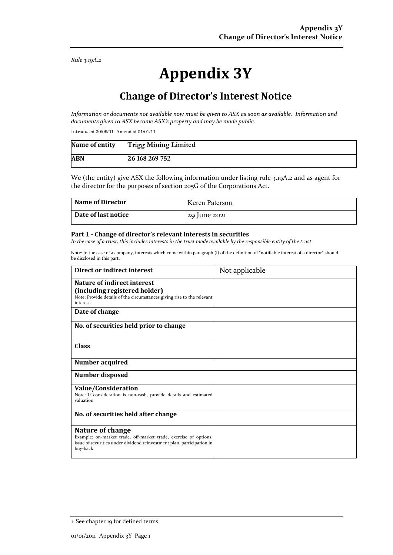*Rule 3.19A.2*

# **Appendix 3Y**

# **Change of Director's Interest Notice**

*Information or documents not available now must be given to ASX as soon as available. Information and documents given to ASX become ASX's property and may be made public.*

Introduced 30/09/01 Amended 01/01/11

| Name of entity | <b>Trigg Mining Limited</b> |
|----------------|-----------------------------|
| <b>ABN</b>     | 26 168 269 752              |

We (the entity) give ASX the following information under listing rule 3.19A.2 and as agent for the director for the purposes of section 205G of the Corporations Act.

| <b>Name of Director</b> | Keren Paterson |
|-------------------------|----------------|
| Date of last notice     | 29 June 2021   |

#### **Part 1 - Change of director's relevant interests in securities**

*In the case of a trust, this includes interests in the trust made available by the responsible entity of the trust*

Note: In the case of a company, interests which come within paragraph (i) of the definition of "notifiable interest of a director" should be disclosed in this part.

| Direct or indirect interest                                                                                                                                                | Not applicable |
|----------------------------------------------------------------------------------------------------------------------------------------------------------------------------|----------------|
| <b>Nature of indirect interest</b><br>(including registered holder)<br>Note: Provide details of the circumstances giving rise to the relevant<br>interest.                 |                |
| Date of change                                                                                                                                                             |                |
| No. of securities held prior to change                                                                                                                                     |                |
| <b>Class</b>                                                                                                                                                               |                |
| Number acquired                                                                                                                                                            |                |
| Number disposed                                                                                                                                                            |                |
| Value/Consideration<br>Note: If consideration is non-cash, provide details and estimated<br>valuation                                                                      |                |
| No. of securities held after change                                                                                                                                        |                |
| Nature of change<br>Example: on-market trade, off-market trade, exercise of options,<br>issue of securities under dividend reinvestment plan, participation in<br>buy-back |                |

<sup>+</sup> See chapter 19 for defined terms.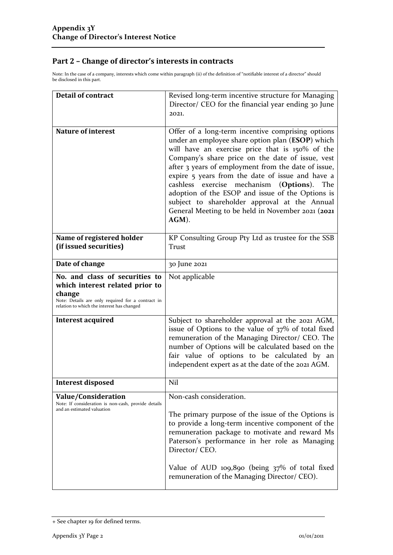### **Part 2 – Change of director's interests in contracts**

Note: In the case of a company, interests which come within paragraph (ii) of the definition of "notifiable interest of a director" should be disclosed in this part.

| <b>Detail of contract</b>                                                                                                                                                      | Revised long-term incentive structure for Managing<br>Director/ CEO for the financial year ending 30 June<br>2021.                                                                                                                                                                                                                                                                                                                                                                                                                                   |  |
|--------------------------------------------------------------------------------------------------------------------------------------------------------------------------------|------------------------------------------------------------------------------------------------------------------------------------------------------------------------------------------------------------------------------------------------------------------------------------------------------------------------------------------------------------------------------------------------------------------------------------------------------------------------------------------------------------------------------------------------------|--|
| <b>Nature of interest</b>                                                                                                                                                      | Offer of a long-term incentive comprising options<br>under an employee share option plan (ESOP) which<br>will have an exercise price that is 150% of the<br>Company's share price on the date of issue, vest<br>after 3 years of employment from the date of issue,<br>expire 5 years from the date of issue and have a<br>cashless<br>mechanism<br>exercise<br>(Options).<br>The<br>adoption of the ESOP and issue of the Options is<br>subject to shareholder approval at the Annual<br>General Meeting to be held in November 2021 (2021<br>AGM). |  |
| Name of registered holder<br>(if issued securities)                                                                                                                            | KP Consulting Group Pty Ltd as trustee for the SSB<br>Trust                                                                                                                                                                                                                                                                                                                                                                                                                                                                                          |  |
| Date of change                                                                                                                                                                 | 30 June 2021                                                                                                                                                                                                                                                                                                                                                                                                                                                                                                                                         |  |
| No. and class of securities to<br>which interest related prior to<br>change<br>Note: Details are only required for a contract in<br>relation to which the interest has changed | Not applicable                                                                                                                                                                                                                                                                                                                                                                                                                                                                                                                                       |  |
| Interest acquired                                                                                                                                                              | Subject to shareholder approval at the 2021 AGM,<br>issue of Options to the value of 37% of total fixed<br>remuneration of the Managing Director/ CEO. The<br>number of Options will be calculated based on the<br>fair value of options to be calculated by an<br>independent expert as at the date of the 2021 AGM.                                                                                                                                                                                                                                |  |
| <b>Interest disposed</b>                                                                                                                                                       | Nil                                                                                                                                                                                                                                                                                                                                                                                                                                                                                                                                                  |  |
| Value/Consideration<br>Note: If consideration is non-cash, provide details<br>and an estimated valuation                                                                       | Non-cash consideration.<br>The primary purpose of the issue of the Options is<br>to provide a long-term incentive component of the<br>remuneration package to motivate and reward Ms<br>Paterson's performance in her role as Managing<br>Director/ CEO.<br>Value of AUD 109,890 (being 37% of total fixed<br>remuneration of the Managing Director/ CEO).                                                                                                                                                                                           |  |
|                                                                                                                                                                                |                                                                                                                                                                                                                                                                                                                                                                                                                                                                                                                                                      |  |

<sup>+</sup> See chapter 19 for defined terms.